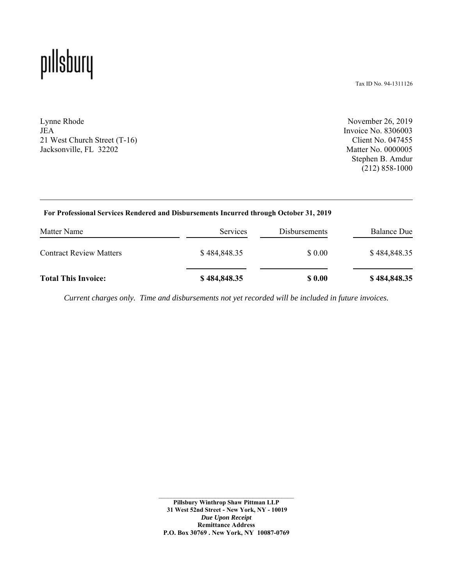## pıllsbury

Tax ID No. 94-1311126

Lynne Rhode JEA 21 West Church Street (T-16) Jacksonville, FL 32202

November 26, 2019 Invoice No. 8306003 Client No. 047455 Matter No. 0000005 Stephen B. Amdur (212) 858-1000

#### **For Professional Services Rendered and Disbursements Incurred through October 31, 2019**

| Matter Name                    | <b>Services</b> | <b>Disbursements</b> | <b>Balance Due</b> |
|--------------------------------|-----------------|----------------------|--------------------|
| <b>Contract Review Matters</b> | \$484,848.35    | \$ 0.00              | \$484,848.35       |
| <b>Total This Invoice:</b>     | \$484,848.35    | \$ 0.00              | \$484,848.35       |

*Current charges only. Time and disbursements not yet recorded will be included in future invoices.*

**Pillsbury Winthrop Shaw Pittman LLP 31 West 52nd Street - New York, NY - 10019** *Due Upon Receipt*  **Remittance Address P.O. Box 30769 . New York, NY 10087-0769**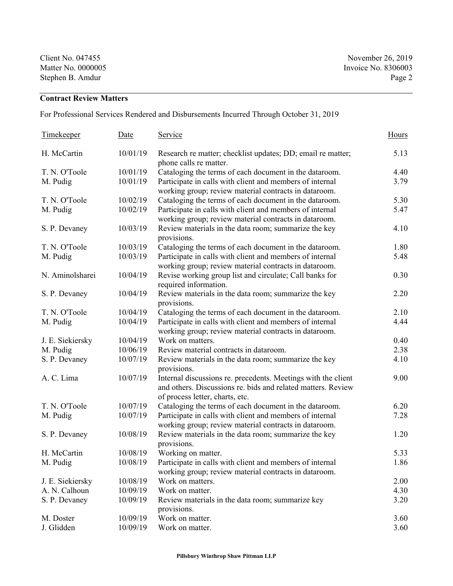Client No. 047455 November 26, 2019 Matter No. 0000005 Invoice No. 8306003 Stephen B. Amdur Page 2

For Professional Services Rendered and Disbursements Incurred Through October 31, 2019

| <b>Timekeeper</b> | Date     | Service                                                                                                                                                          | Hours |
|-------------------|----------|------------------------------------------------------------------------------------------------------------------------------------------------------------------|-------|
| H. McCartin       | 10/01/19 | Research re matter; checklist updates; DD; email re matter;<br>phone calls re matter.                                                                            | 5.13  |
| T. N. O'Toole     | 10/01/19 | Cataloging the terms of each document in the dataroom.                                                                                                           | 4.40  |
| M. Pudig          | 10/01/19 | Participate in calls with client and members of internal<br>working group; review material contracts in dataroom.                                                | 3.79  |
| T. N. O'Toole     | 10/02/19 | Cataloging the terms of each document in the dataroom.                                                                                                           | 5.30  |
| M. Pudig          | 10/02/19 | Participate in calls with client and members of internal<br>working group; review material contracts in dataroom.                                                | 5.47  |
| S. P. Devaney     | 10/03/19 | Review materials in the data room; summarize the key<br>provisions.                                                                                              | 4.10  |
| T. N. O'Toole     | 10/03/19 | Cataloging the terms of each document in the dataroom.                                                                                                           | 1.80  |
| M. Pudig          | 10/03/19 | Participate in calls with client and members of internal                                                                                                         | 5.48  |
|                   |          | working group; review material contracts in dataroom.                                                                                                            |       |
| N. Aminolsharei   | 10/04/19 | Revise working group list and circulate; Call banks for<br>required information.                                                                                 | 0.30  |
| S. P. Devaney     | 10/04/19 | Review materials in the data room; summarize the key<br>provisions.                                                                                              | 2.20  |
| T. N. O'Toole     | 10/04/19 | Cataloging the terms of each document in the dataroom.                                                                                                           | 2.10  |
| M. Pudig          | 10/04/19 | Participate in calls with client and members of internal<br>working group; review material contracts in dataroom.                                                | 4.44  |
| J. E. Siekiersky  | 10/04/19 | Work on matters.                                                                                                                                                 | 0.40  |
| M. Pudig          | 10/06/19 | Review material contracts in dataroom.                                                                                                                           | 2.38  |
| S. P. Devaney     | 10/07/19 | Review materials in the data room; summarize the key<br>provisions.                                                                                              | 4.10  |
| A. C. Lima        | 10/07/19 | Internal discussions re. precedents. Meetings with the client<br>and others. Discussions re. bids and related matters. Review<br>of process letter, charts, etc. | 9.00  |
| T. N. O'Toole     | 10/07/19 | Cataloging the terms of each document in the dataroom.                                                                                                           | 6.20  |
| M. Pudig          | 10/07/19 | Participate in calls with client and members of internal<br>working group; review material contracts in dataroom.                                                | 7.28  |
| S. P. Devaney     | 10/08/19 | Review materials in the data room; summarize the key<br>provisions.                                                                                              | 1.20  |
| H. McCartin       | 10/08/19 | Working on matter.                                                                                                                                               | 5.33  |
| M. Pudig          | 10/08/19 | Participate in calls with client and members of internal<br>working group; review material contracts in dataroom.                                                | 1.86  |
| J. E. Siekiersky  | 10/08/19 | Work on matters.                                                                                                                                                 | 2.00  |
| A. N. Calhoun     | 10/09/19 | Work on matter.                                                                                                                                                  | 4.30  |
| S. P. Devaney     | 10/09/19 | Review materials in the data room; summarize key<br>provisions.                                                                                                  | 3.20  |
| M. Doster         | 10/09/19 | Work on matter.                                                                                                                                                  | 3.60  |
| J. Glidden        | 10/09/19 | Work on matter.                                                                                                                                                  | 3.60  |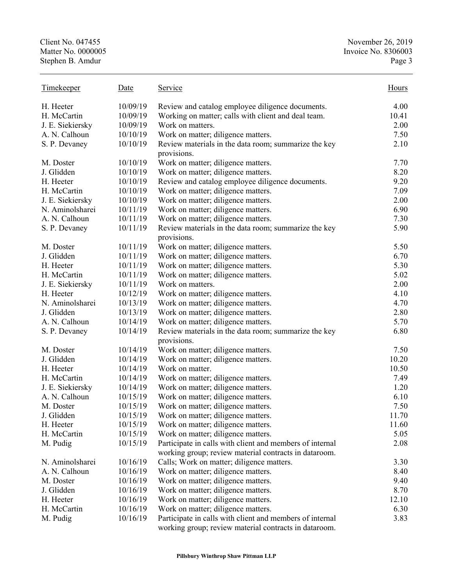| Client No. 047455<br>Matter No. 0000005<br>Stephen B. Amdur |          |                                                                                                                   | November 26, 2019<br>Invoice No. 8306003<br>Page 3 |
|-------------------------------------------------------------|----------|-------------------------------------------------------------------------------------------------------------------|----------------------------------------------------|
| Timekeeper                                                  | Date     | <u>Service</u>                                                                                                    | <b>Hours</b>                                       |
| H. Heeter                                                   | 10/09/19 | Review and catalog employee diligence documents.                                                                  | 4.00                                               |
| H. McCartin                                                 | 10/09/19 | Working on matter; calls with client and deal team.                                                               | 10.41                                              |
| J. E. Siekiersky                                            | 10/09/19 | Work on matters.                                                                                                  | 2.00                                               |
| A. N. Calhoun                                               | 10/10/19 | Work on matter; diligence matters.                                                                                | 7.50                                               |
| S. P. Devaney                                               | 10/10/19 | Review materials in the data room; summarize the key<br>provisions.                                               | 2.10                                               |
| M. Doster                                                   | 10/10/19 | Work on matter; diligence matters.                                                                                | 7.70                                               |
| J. Glidden                                                  | 10/10/19 | Work on matter; diligence matters.                                                                                | 8.20                                               |
| H. Heeter                                                   | 10/10/19 | Review and catalog employee diligence documents.                                                                  | 9.20                                               |
| H. McCartin                                                 | 10/10/19 | Work on matter; diligence matters.                                                                                | 7.09                                               |
| J. E. Siekiersky                                            | 10/10/19 | Work on matter; diligence matters.                                                                                | 2.00                                               |
| N. Aminolsharei                                             | 10/11/19 | Work on matter; diligence matters.                                                                                | 6.90                                               |
| A. N. Calhoun                                               | 10/11/19 | Work on matter; diligence matters.                                                                                | 7.30                                               |
| S. P. Devaney                                               | 10/11/19 | Review materials in the data room; summarize the key<br>provisions.                                               | 5.90                                               |
| M. Doster                                                   | 10/11/19 | Work on matter; diligence matters.                                                                                | 5.50                                               |
| J. Glidden                                                  | 10/11/19 | Work on matter; diligence matters.                                                                                | 6.70                                               |
| H. Heeter                                                   | 10/11/19 | Work on matter; diligence matters.                                                                                | 5.30                                               |
| H. McCartin                                                 | 10/11/19 | Work on matter; diligence matters.                                                                                | 5.02                                               |
| J. E. Siekiersky                                            | 10/11/19 | Work on matters.                                                                                                  | 2.00                                               |
| H. Heeter                                                   | 10/12/19 | Work on matter; diligence matters.                                                                                | 4.10                                               |
| N. Aminolsharei                                             | 10/13/19 | Work on matter; diligence matters.                                                                                | 4.70                                               |
| J. Glidden                                                  | 10/13/19 | Work on matter; diligence matters.                                                                                | 2.80                                               |
| A. N. Calhoun                                               | 10/14/19 | Work on matter; diligence matters.                                                                                | 5.70                                               |
| S. P. Devaney                                               | 10/14/19 | Review materials in the data room; summarize the key<br>provisions.                                               | 6.80                                               |
| M. Doster                                                   | 10/14/19 | Work on matter; diligence matters.                                                                                | 7.50                                               |
| J. Glidden                                                  | 10/14/19 | Work on matter; diligence matters.                                                                                | 10.20                                              |
| H. Heeter                                                   | 10/14/19 | Work on matter.                                                                                                   | 10.50                                              |
| H. McCartin                                                 | 10/14/19 | Work on matter; diligence matters.                                                                                | 7.49                                               |
| J. E. Siekiersky                                            | 10/14/19 | Work on matter; diligence matters.                                                                                | 1.20                                               |
| A. N. Calhoun                                               | 10/15/19 | Work on matter; diligence matters.                                                                                | 6.10                                               |
| M. Doster                                                   | 10/15/19 | Work on matter; diligence matters.                                                                                | 7.50                                               |
| J. Glidden                                                  | 10/15/19 | Work on matter; diligence matters.                                                                                | 11.70                                              |
| H. Heeter                                                   | 10/15/19 | Work on matter; diligence matters.                                                                                | 11.60                                              |
| H. McCartin                                                 | 10/15/19 | Work on matter; diligence matters.                                                                                | 5.05                                               |
| M. Pudig                                                    | 10/15/19 | Participate in calls with client and members of internal<br>working group; review material contracts in dataroom. | 2.08                                               |
| N. Aminolsharei                                             | 10/16/19 | Calls; Work on matter; diligence matters.                                                                         | 3.30                                               |
| A. N. Calhoun                                               | 10/16/19 | Work on matter; diligence matters.                                                                                | 8.40                                               |
| M. Doster                                                   | 10/16/19 | Work on matter; diligence matters.                                                                                | 9.40                                               |
| J. Glidden                                                  | 10/16/19 | Work on matter; diligence matters.                                                                                | 8.70                                               |
| H. Heeter                                                   | 10/16/19 | Work on matter; diligence matters.                                                                                | 12.10                                              |
| H. McCartin                                                 | 10/16/19 | Work on matter; diligence matters.                                                                                | 6.30                                               |
| M. Pudig                                                    | 10/16/19 | Participate in calls with client and members of internal<br>working group; review material contracts in dataroom. | 3.83                                               |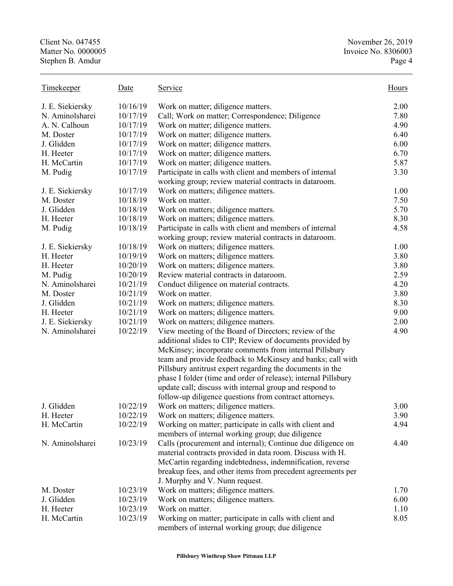Client No. 047455 November 26, 2019 Matter No. 0000005<br>Stephen B. Amdur Page 4 Stephen B. Amdur

| <b>Timekeeper</b>             | Date     | <u>Service</u>                                                                                                    | <b>Hours</b> |
|-------------------------------|----------|-------------------------------------------------------------------------------------------------------------------|--------------|
| J. E. Siekiersky              | 10/16/19 | Work on matter; diligence matters.                                                                                | 2.00         |
| N. Aminolsharei               | 10/17/19 | Call; Work on matter; Correspondence; Diligence                                                                   | 7.80         |
| A. N. Calhoun                 | 10/17/19 | Work on matter; diligence matters.                                                                                | 4.90         |
| M. Doster                     | 10/17/19 | Work on matter; diligence matters.                                                                                | 6.40         |
| J. Glidden                    | 10/17/19 | Work on matter; diligence matters.                                                                                | 6.00         |
| H. Heeter                     | 10/17/19 | Work on matter; diligence matters.                                                                                | 6.70         |
| H. McCartin                   | 10/17/19 | Work on matter; diligence matters.                                                                                | 5.87         |
| M. Pudig                      | 10/17/19 | Participate in calls with client and members of internal<br>working group; review material contracts in dataroom. | 3.30         |
| J. E. Siekiersky              | 10/17/19 | Work on matters; diligence matters.                                                                               | 1.00         |
| M. Doster                     | 10/18/19 | Work on matter.                                                                                                   | 7.50         |
| J. Glidden                    | 10/18/19 | Work on matters; diligence matters.                                                                               | 5.70         |
| H. Heeter                     | 10/18/19 | Work on matters; diligence matters.                                                                               | 8.30         |
| M. Pudig                      | 10/18/19 | Participate in calls with client and members of internal                                                          | 4.58         |
|                               |          | working group; review material contracts in dataroom.                                                             |              |
|                               | 10/18/19 |                                                                                                                   | 1.00         |
| J. E. Siekiersky<br>H. Heeter |          | Work on matters; diligence matters.<br>Work on matters; diligence matters.                                        | 3.80         |
| H. Heeter                     | 10/19/19 |                                                                                                                   |              |
|                               | 10/20/19 | Work on matters; diligence matters.<br>Review material contracts in dataroom.                                     | 3.80         |
| M. Pudig                      | 10/20/19 |                                                                                                                   | 2.59<br>4.20 |
| N. Aminolsharei               | 10/21/19 | Conduct diligence on material contracts.                                                                          |              |
| M. Doster                     | 10/21/19 | Work on matter.                                                                                                   | 3.80         |
| J. Glidden                    | 10/21/19 | Work on matters; diligence matters.                                                                               | 8.30         |
| H. Heeter                     | 10/21/19 | Work on matters; diligence matters.                                                                               | 9.00         |
| J. E. Siekiersky              | 10/21/19 | Work on matters; diligence matters.                                                                               | 2.00         |
| N. Aminolsharei               | 10/22/19 | View meeting of the Board of Directors; review of the                                                             | 4.90         |
|                               |          | additional slides to CIP; Review of documents provided by                                                         |              |
|                               |          | McKinsey; incorporate comments from internal Pillsbury                                                            |              |
|                               |          | team and provide feedback to McKinsey and banks; call with                                                        |              |
|                               |          | Pillsbury antitrust expert regarding the documents in the                                                         |              |
|                               |          | phase I folder (time and order of release); internal Pillsbury                                                    |              |
|                               |          | update call; discuss with internal group and respond to                                                           |              |
|                               |          | follow-up diligence questions from contract attorneys.                                                            |              |
| J. Glidden                    | 10/22/19 | Work on matters; diligence matters.                                                                               | 3.00         |
| H. Heeter                     | 10/22/19 | Work on matters; diligence matters.                                                                               | 3.90         |
| H. McCartin                   | 10/22/19 | Working on matter; participate in calls with client and                                                           | 4.94         |
|                               |          | members of internal working group; due diligence                                                                  |              |
| N. Aminolsharei               | 10/23/19 | Calls (procurement and internal); Continue due diligence on                                                       | 4.40         |
|                               |          | material contracts provided in data room. Discuss with H.                                                         |              |
|                               |          | McCartin regarding indebtedness, indemnification, reverse                                                         |              |
|                               |          | breakup fees, and other items from precedent agreements per                                                       |              |
|                               |          | J. Murphy and V. Nunn request.                                                                                    |              |
| M. Doster                     | 10/23/19 | Work on matters; diligence matters.                                                                               | 1.70         |
| J. Glidden                    | 10/23/19 | Work on matters; diligence matters.                                                                               | 6.00         |
| H. Heeter                     | 10/23/19 | Work on matter.                                                                                                   | 1.10         |
| H. McCartin                   | 10/23/19 | Working on matter; participate in calls with client and                                                           | 8.05         |

**Pillsbury Winthrop Shaw Pittman LLP** 

members of internal working group; due diligence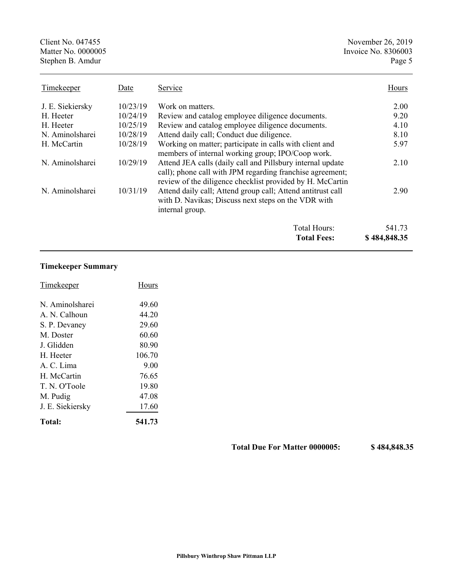Client No. 047455 November 26, 2019 Matter No. 0000005<br>Stephen B. Amdur Page 5 Stephen B. Amdur

| Timekeeper       | Date     | Service                                                                                                                                                                              | Hours  |
|------------------|----------|--------------------------------------------------------------------------------------------------------------------------------------------------------------------------------------|--------|
| J. E. Siekiersky | 10/23/19 | Work on matters.                                                                                                                                                                     | 2.00   |
| H. Heeter        | 10/24/19 | Review and catalog employee diligence documents.                                                                                                                                     | 9.20   |
| H. Heeter        | 10/25/19 | Review and catalog employee diligence documents.                                                                                                                                     | 4.10   |
| N. Aminolsharei  | 10/28/19 | Attend daily call; Conduct due diligence.                                                                                                                                            | 8.10   |
| H. McCartin      | 10/28/19 | Working on matter; participate in calls with client and<br>members of internal working group; IPO/Coop work.                                                                         | 5.97   |
| N. Aminolsharei  | 10/29/19 | Attend JEA calls (daily call and Pillsbury internal update<br>call); phone call with JPM regarding franchise agreement;<br>review of the diligence checklist provided by H. McCartin | 2.10   |
| N. Aminolsharei  | 10/31/19 | Attend daily call; Attend group call; Attend antitrust call<br>with D. Navikas; Discuss next steps on the VDR with<br>internal group.                                                | 2.90   |
|                  |          | $T = 1.1$ II. $\ldots$                                                                                                                                                               | 511.72 |

Total Hours: 541.73 **Total Fees: \$ 484,848.35**

### **Timekeeper Summary**

| Total:           | 541.73 |
|------------------|--------|
| J. E. Siekiersky | 17.60  |
| M. Pudig         | 47.08  |
| T. N. O'Toole    | 19.80  |
| H. McCartin      | 76.65  |
| A. C. Lima       | 9.00   |
| H. Heeter        | 106.70 |
| J. Glidden       | 80.90  |
| M. Doster        | 60.60  |
| S. P. Devaney    | 29.60  |
| A. N. Calhoun    | 44.20  |
| N. Aminolsharei  | 49.60  |
| Timekeeper       | Hours  |

**Total Due For Matter 0000005: \$ 484,848.35**